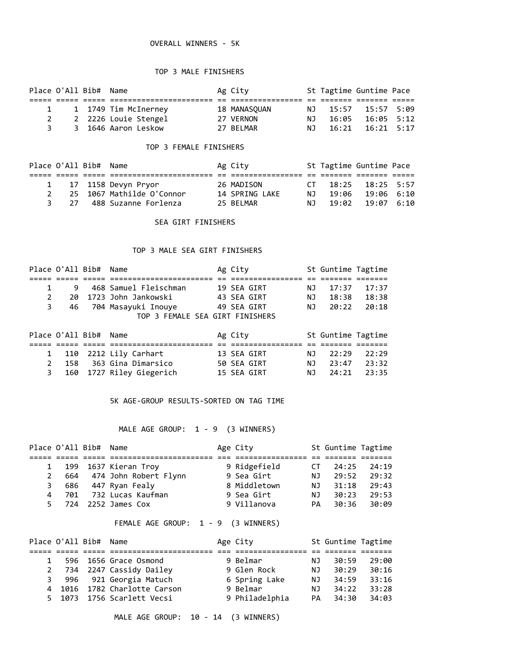#### OVERALL WINNERS - 5K

#### TOP 3 MALE FINISHERS

|    | Place O'All Bib# Name |                      | Ag City      |     |       | St Tagtime Guntime Pace |  |
|----|-----------------------|----------------------|--------------|-----|-------|-------------------------|--|
|    |                       |                      |              |     |       |                         |  |
|    |                       | 1 1749 Tim McInerney | 18 MANASOUAN | N T | 15:57 | 15:57 5:09              |  |
|    |                       | 2 2226 Louie Stengel | 27 VERNON    | NJ. | 16:05 | 16:05 5:12              |  |
| 3. |                       | 3 1646 Aaron Leskow  | 27 BELMAR    | N T | 16:21 | 16:21 5:17              |  |

#### TOP 3 FEMALE FINISHERS

|   | Place O'All Bib# Name |                           | Ag City        |          | St Tagtime Guntime Pace |  |
|---|-----------------------|---------------------------|----------------|----------|-------------------------|--|
|   |                       |                           |                |          |                         |  |
|   |                       | 1 17 1158 Devyn Pryor     | 26 MADISON     | $\Gamma$ | $18:25$ $18:25$ 5:57    |  |
|   |                       | 25 1067 Mathilde O'Connor | 14 SPRING LAKE | N T      | 19:06 19:06 6:10        |  |
| २ |                       | 27 488 Suzanne Forlenza   | 25 BFIMAR      | N T      | 19:02 19:07 6:10        |  |

#### SEA GIRT FINISHERS

#### TOP 3 MALE SEA GIRT FINISHERS

| Place O'All Bib# Name |   |                                 | Ag City |             |     | St Guntime Tagtime |       |
|-----------------------|---|---------------------------------|---------|-------------|-----|--------------------|-------|
|                       |   |                                 |         |             |     |                    |       |
| $\mathbf{1}$          | 9 | 468 Samuel Fleischman           |         | 19 SEA GIRT | NJ. | 17:37              | 17:37 |
| 2                     |   | 20 1723 John Jankowski          |         | 43 SEA GIRT | NJ. | 18:38              | 18:38 |
| 3                     |   | 46 704 Masayuki Inouye          |         | 49 SEA GIRT | ΝJ  | 20:22              | 20:18 |
|                       |   | TOP 3 FEMALE SEA GIRT FINISHERS |         |             |     |                    |       |
| Place O'All Bib# Name |   |                                 | Ag City |             |     | St Guntime Tagtime |       |

|  | 1 110 2212 Lily Carhart    |  | 13 SEA GIRT | NJ 22:29 22:29  |  |
|--|----------------------------|--|-------------|-----------------|--|
|  | 2 158 363 Gina Dimarsico   |  | 50 SEA GIRT | N.1 23:47 23:32 |  |
|  | 3 160 1727 Riley Giegerich |  | 15 SEA GIRT | NJ 24:21 23:35  |  |

#### 5K AGE-GROUP RESULTS-SORTED ON TAG TIME

## MALE AGE GROUP: 1 - 9 (3 WINNERS)

| Place O'All Bib# Name |                             | Age City     |      | St Guntime Tagtime |       |
|-----------------------|-----------------------------|--------------|------|--------------------|-------|
|                       |                             |              |      |                    |       |
|                       | 1 199 1637 Kieran Troy      | 9 Ridgefield | CT.  | 24:25              | 24:19 |
|                       | 2 664 474 John Robert Flynn | 9 Sea Girt   | NJ.  | 29:52              | 29:32 |
|                       | 3 686 447 Ryan Fealy        | 8 Middletown | NJ 1 | 31:18              | 29:43 |
|                       | 4 701 732 Lucas Kaufman     | 9 Sea Girt   | NJ   | 30:23              | 29:53 |
|                       | 5 724 2252 James Cox        | 9 Villanova  | PA   | 30:36              | 30:09 |

## FEMALE AGE GROUP: 1 - 9 (3 WINNERS)

|              | Place O'All Bib# Name |                              | Age City       |     | St Guntime Tagtime |       |
|--------------|-----------------------|------------------------------|----------------|-----|--------------------|-------|
|              |                       |                              |                |     |                    |       |
| $\mathbf{1}$ |                       | 596 1656 Grace Osmond        | 9 Belmar       | NJ. | 30:59              | 29:00 |
|              |                       | 2 734 2247 Cassidy Dailey    | 9 Glen Rock    | NJ. | 30:29              | 30:16 |
|              |                       | 3 996 921 Georgia Matuch     | 6 Spring Lake  | NJ. | 34:59              | 33:16 |
|              |                       | 4 1016 1782 Charlotte Carson | 9 Belmar       | NJ. | 34:22              | 33:28 |
|              |                       | 5 1073 1756 Scarlett Vecsi   | 9 Philadelphia | PA. | 34:30              | 34:03 |

MALE AGE GROUP: 10 - 14 (3 WINNERS)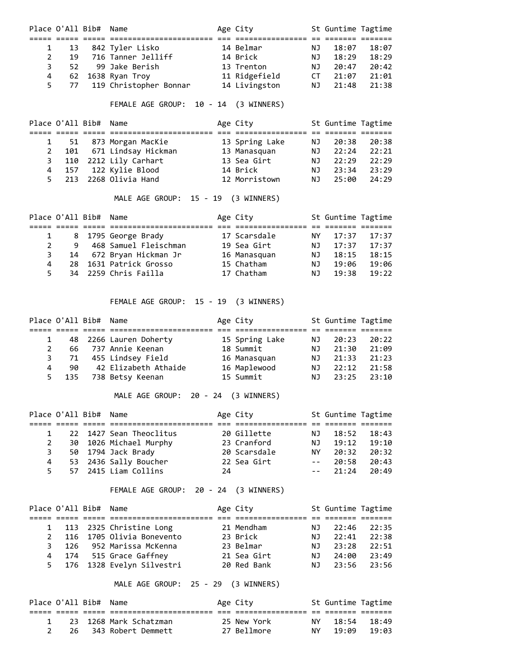|           | Place O'All Bib# Name |                           | Age City      |     | St Guntime Tagtime |       |
|-----------|-----------------------|---------------------------|---------------|-----|--------------------|-------|
|           |                       |                           |               |     |                    |       |
| $1 \quad$ | - 13                  | 842 Tyler Lisko           | 14 Belmar     | NJ. | 18:07              | 18:07 |
| 2         | 19                    | 716 Tanner Jelliff        | 14 Brick      | ΝJ  | 18:29              | 18:29 |
| 3         | 52                    | 99 Jake Berish            | 13 Trenton    | ΝJ  | 20:47              | 20:42 |
| 4         |                       | 62 1638 Ryan Troy         | 11 Ridgefield | СT  | 21:07              | 21:01 |
| 5         |                       | 77 119 Christopher Bonnar | 14 Livingston | NJ  | 21:48              | 21:38 |
|           |                       |                           |               |     |                    |       |

## FEMALE AGE GROUP: 10 - 14 (3 WINNERS)

| Place O'All Bib# Name |                           | Age City       |      | St Guntime Tagtime |       |
|-----------------------|---------------------------|----------------|------|--------------------|-------|
|                       |                           |                |      |                    |       |
|                       | 1 51 873 Morgan MacKie    | 13 Spring Lake | NJ 1 | 20:38              | 20:38 |
|                       | 2 101 671 Lindsay Hickman | 13 Manasquan   | ΝJ   | 22:24              | 22:21 |
|                       | 3 110 2212 Lily Carhart   | 13 Sea Girt    | NJ.  | 22:29              | 22:29 |
|                       | 4 157 122 Kylie Blood     | 14 Brick       | NJ.  | 23:34              | 23:29 |
|                       | 5 213 2268 Olivia Hand    | 12 Morristown  | NJ.  | 25:00              | 24:29 |

# MALE AGE GROUP: 15 - 19 (3 WINNERS)

| Place O'All Bib# Name |   |                         | Age City     |      | St Guntime Tagtime |       |
|-----------------------|---|-------------------------|--------------|------|--------------------|-------|
|                       |   |                         |              |      |                    |       |
|                       |   | 1 8 1795 George Brady   | 17 Scarsdale | NY L | 17:37              | 17:37 |
| 2                     | 9 | 468 Samuel Fleischman   | 19 Sea Girt  | NJ.  | 17:37              | 17:37 |
| 3                     |   | 14 672 Bryan Hickman Jr | 16 Manasguan | NJ.  | 18:15              | 18:15 |
| 4                     |   | 28 1631 Patrick Grosso  | 15 Chatham   | NJ.  | 19:06              | 19:06 |
| 5.                    |   | 34 2259 Chris Failla    | 17 Chatham   | NJ.  | 19:38              | 19:22 |

## FEMALE AGE GROUP: 15 - 19 (3 WINNERS)

|   | Place O'All Bib# Name |                          | Age City       |      | St Guntime Tagtime |       |
|---|-----------------------|--------------------------|----------------|------|--------------------|-------|
|   |                       |                          |                |      |                    |       |
|   |                       | 1 48 2266 Lauren Doherty | 15 Spring Lake | NJ 1 | 20:23              | 20:22 |
| 2 |                       | 66 737 Annie Keenan      | 18 Summit      | NJ.  | 21:30              | 21:09 |
|   |                       | 3 71 455 Lindsey Field   | 16 Manasguan   | NJ.  | 21:33              | 21:23 |
| 4 | 90                    | 42 Elizabeth Athaide     | 16 Maplewood   | NJ.  | 22:12              | 21:58 |
| 5 |                       | 135 738 Betsy Keenan     | 15 Summit      | NJ.  | 23:25              | 23:10 |

## MALE AGE GROUP: 20 - 24 (3 WINNERS)

|    | Place O'All Bib# Name |                         |    | Age City     |      | St Guntime Tagtime |       |
|----|-----------------------|-------------------------|----|--------------|------|--------------------|-------|
|    |                       |                         |    |              |      |                    |       |
|    |                       | 22 1427 Sean Theoclitus |    | 20 Gillette  | NJ 1 | 18:52              | 18:43 |
| 2  |                       | 30 1026 Michael Murphy  |    | 23 Cranford  | NJ.  | 19:12              | 19:10 |
| 3  |                       | 50 1794 Jack Brady      |    | 20 Scarsdale | NY . | 20:32              | 20:32 |
| 4  |                       | 53 2436 Sally Boucher   |    | 22 Sea Girt  |      | $-- 20:58$         | 20:43 |
| 5. |                       | 57 2415 Liam Collins    | 24 |              |      | $-- 21:24$         | 20:49 |

# FEMALE AGE GROUP: 20 - 24 (3 WINNERS)

| Place O'All Bib# Name |                             | Age City    |      | St Guntime Tagtime |        |
|-----------------------|-----------------------------|-------------|------|--------------------|--------|
|                       |                             |             |      |                    |        |
|                       | 1 113 2325 Christine Long   | 21 Mendham  | NJ 1 | 22:46              | -22:35 |
|                       | 2 116 1705 Olivia Bonevento | 23 Brick    | NJ 1 | 22:41              | 22:38  |
|                       | 3 126 952 Marissa McKenna   | 23 Belmar   | NJ.  | 23:28              | 22:51  |
|                       | 4 174 515 Grace Gaffney     | 21 Sea Girt |      | NJ 24:00           | 23:49  |
|                       | 5 176 1328 Evelyn Silvestri | 20 Red Bank | NJ 1 | 23:56              | 23:56  |

# MALE AGE GROUP: 25 - 29 (3 WINNERS)

| Place O'All Bib# Name |  |                          | Age City    |    | St Guntime Tagtime |                 |
|-----------------------|--|--------------------------|-------------|----|--------------------|-----------------|
|                       |  |                          |             |    |                    |                 |
|                       |  | 1 23 1268 Mark Schatzman | 25 New York |    | NY 18:54 18:49     |                 |
|                       |  | 26 343 Robert Demmett    | 27 Bellmore | NY |                    | $19:09$ $19:03$ |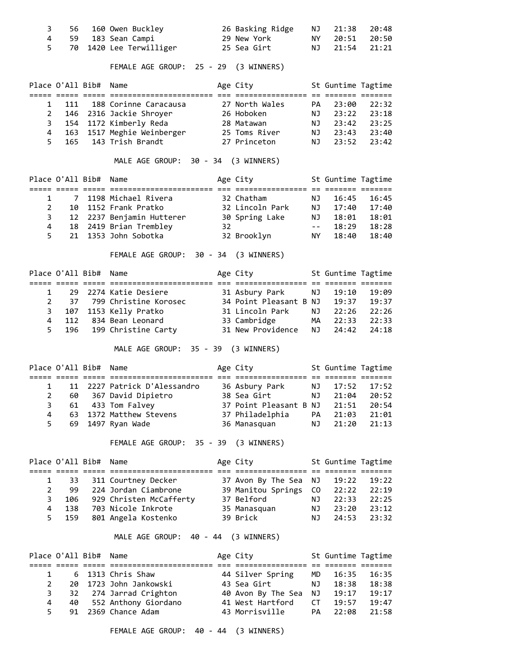| 3<br>4<br>5           | 56                     | 59 183 Sean Campi 29 New York<br>70 1420 Lee Terwilliger 35 Sea Girt                                                                    |                                                                          | NJ<br>NY 1<br>NJ | 21:38<br>20:51<br>21:54 | 20:48<br>20:50<br>21:21                                                          |
|-----------------------|------------------------|-----------------------------------------------------------------------------------------------------------------------------------------|--------------------------------------------------------------------------|------------------|-------------------------|----------------------------------------------------------------------------------|
|                       |                        | FEMALE AGE GROUP: 25 - 29 (3 WINNERS)                                                                                                   |                                                                          |                  |                         |                                                                                  |
|                       | Place O'All Bib# Name  |                                                                                                                                         | Age City <b>St Guntime Tagtime</b>                                       |                  |                         |                                                                                  |
| $\mathbf{1}$          |                        | 111 188 Corinne Caracausa 27 North Wales                                                                                                |                                                                          | <b>PA</b>        | 23:00                   | 22:32                                                                            |
| $\mathbf{2}^{\prime}$ |                        | 146 2316 Jackie Shroyer 26 Hoboken                                                                                                      |                                                                          | NJ               | 23:22                   | 23:18                                                                            |
| 3<br>4                |                        |                                                                                                                                         |                                                                          | <b>NJ</b>        | 23:42                   | 23:25                                                                            |
| 5                     |                        |                                                                                                                                         |                                                                          | NJ               | NJ 23:43 23:40<br>23:52 | 23:42                                                                            |
|                       |                        | MALE AGE GROUP: 30 - 34 (3 WINNERS)                                                                                                     |                                                                          |                  |                         |                                                                                  |
|                       | Place O'All Bib# Name  |                                                                                                                                         | Age City <b>St Guntime Tagtime</b>                                       |                  |                         |                                                                                  |
|                       |                        |                                                                                                                                         |                                                                          |                  |                         |                                                                                  |
| $\mathbf{2}$          | $1 \quad \Box$         | 7 1198 Michael Rivera 32 Chatham                                                                                                        |                                                                          | NJ               | 16:45                   | 16:45                                                                            |
| 3                     |                        |                                                                                                                                         |                                                                          |                  |                         |                                                                                  |
| 4                     |                        |                                                                                                                                         |                                                                          |                  |                         | $\begin{array}{lll} 17:40 & 17:40 \\ 18:01 & 18:01 \\ 18:29 & 18:28 \end{array}$ |
| 5                     |                        | 10 1152 Frank Pratko<br>12 2237 Benjamin Hutterer 30 Spring Lake NJ<br>18 2419 Brian Trembley 32<br>21 1353 John Sobotka 32 Brooklyn NY |                                                                          |                  | 18:40                   | 18:40                                                                            |
|                       |                        | FEMALE AGE GROUP: 30 - 34 (3 WINNERS)                                                                                                   |                                                                          |                  |                         |                                                                                  |
|                       | Place O'All Bib# Name  |                                                                                                                                         | Age City <b>St Guntime Tagtime</b>                                       |                  |                         |                                                                                  |
|                       | $1 \quad \Box$         |                                                                                                                                         |                                                                          |                  |                         |                                                                                  |
| $\overline{2}$        |                        |                                                                                                                                         |                                                                          |                  |                         |                                                                                  |
| 3                     |                        |                                                                                                                                         |                                                                          |                  |                         |                                                                                  |
| 4                     |                        |                                                                                                                                         |                                                                          |                  |                         |                                                                                  |
| 5                     | 196                    | 199 Christine Carty                                                                                                                     | 31 New Providence                                                        | NJ               | 24:42                   | 24:18                                                                            |
|                       |                        | MALE AGE GROUP: 35 - 39 (3 WINNERS)                                                                                                     |                                                                          |                  |                         |                                                                                  |
|                       |                        | Place O'All Bib# Name                                                                                                                   | Age City <b>St Guntime Tagtime</b>                                       |                  |                         |                                                                                  |
|                       | $1 \quad \blacksquare$ | 11 2227 Patrick D'Alessandro 36 Asbury Park NJ                                                                                          |                                                                          |                  | 17:52                   | 17:52                                                                            |
|                       |                        | 2 60 367 David Dipietro 38 Sea Girt NJ 21:04 20:52                                                                                      |                                                                          |                  |                         |                                                                                  |
| 3                     | 61                     | 433 Tom Falvey                                                                                                                          | 37 Point Pleasant B NJ                                                   |                  | 21:51                   | 20:54                                                                            |
| 4                     |                        | 63 1372 Matthew Stevens 37 Philadelphia PA 21:03                                                                                        |                                                                          |                  |                         | 21:01                                                                            |
| 5                     |                        | 69 1497 Ryan Wade                                                                                                                       | 36 Manasquan                                                             | NJ               | 21:20                   | 21:13                                                                            |
|                       |                        | FEMALE AGE GROUP: 35 - 39 (3 WINNERS)                                                                                                   |                                                                          |                  |                         |                                                                                  |
|                       | Place O'All Bib# Name  |                                                                                                                                         | Age City 5t Guntime Tagtime                                              |                  |                         |                                                                                  |
|                       |                        |                                                                                                                                         |                                                                          |                  | 19:22                   |                                                                                  |
| 1<br>2                | 33                     | 311 Courtney Decker 37 Avon By The Sea NJ<br>99 224 Jordan Ciambrone 39 Manitou Springs CO                                              |                                                                          |                  | 22:22                   | 19:22<br>22:19                                                                   |
| 3                     |                        |                                                                                                                                         |                                                                          | NJ               |                         | 22:33 22:25                                                                      |
| 4                     |                        |                                                                                                                                         |                                                                          |                  | NJ 23:20 23:12          |                                                                                  |
| 5                     |                        | 106 929 Christen McCafferty 37 Belford<br>138 703 Nicole Inkrote 35 Manasquan<br>159 801 Angela Kostenko 39 Brick                       |                                                                          | NJ               |                         | 24:53 23:32                                                                      |
|                       |                        | MALE AGE GROUP: 40 - 44 (3 WINNERS)                                                                                                     |                                                                          |                  |                         |                                                                                  |
|                       | Place O'All Bib# Name  |                                                                                                                                         | Age City <b>St Guntime Tagtime</b>                                       |                  |                         |                                                                                  |
|                       |                        |                                                                                                                                         |                                                                          |                  |                         |                                                                                  |
| 1<br>$\overline{2}$   |                        | 6 1313 Chris Shaw<br>20 1723 John Jankowski                                                                                             | 44 Silver Spring  MD<br>43 Sea Girt                                      | NJ               | 16:35                   | 16:35                                                                            |
| 3                     |                        | 32 274 Jarrad Crighton                                                                                                                  |                                                                          |                  |                         | 18:38 18:38                                                                      |
| 4                     |                        | $32 \times 14$<br>40 552 Anthony Giordano                                                                                               |                                                                          |                  |                         |                                                                                  |
| 5                     | 91                     | 2369 Chance Adam                                                                                                                        | 40 Avon By The Sea  NJ<br>41 West Hartford   CT<br>43 Morrisville     PA |                  | 22:08                   | 21:58                                                                            |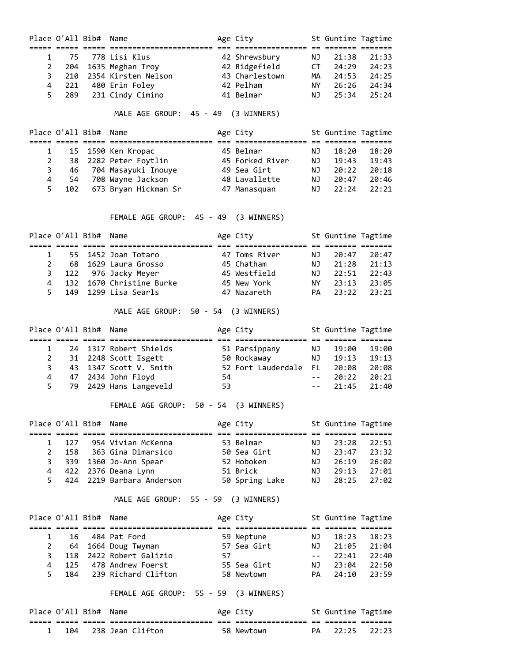|                | Place O'All Bib# |                       | Name                                                                                                         |           | Age City                                                                   |                | St Guntime Tagtime |                 |
|----------------|------------------|-----------------------|--------------------------------------------------------------------------------------------------------------|-----------|----------------------------------------------------------------------------|----------------|--------------------|-----------------|
| 1              | 75               |                       | 778 Lisi Klus                                                                                                |           | 42 Shrewsbury       NJ                                                     |                | 21:38              | 21:33           |
| $\overline{2}$ | 204              |                       | 1635 Meghan Troy 		 42 Ridgefield 		 CT                                                                      |           |                                                                            |                | 24:29              | 24:23           |
| 3              | 210              |                       | 2354 Kirsten Nelson <a> 43 Charlestown</a> 1                                                                 |           |                                                                            | MA             | 24:53              | 24:25           |
| 4              | 221              |                       | 480 Erin Foley                                                                                               | 42 Pelham |                                                                            | NY 11          | 26:26              | 24:34           |
| 5              |                  |                       | 289 231 Cindy Cimino                         41 Belmar                                                       |           |                                                                            | NJ             | 25:34              | 25:24           |
|                |                  |                       | MALE AGE GROUP: 45 - 49 (3 WINNERS)                                                                          |           |                                                                            |                |                    |                 |
|                |                  | Place O'All Bib# Name |                                                                                                              |           | Age City <b>St Guntime Tagtime</b><br>;============== == ======== ======== |                |                    |                 |
| 1              | 15               |                       | 1590 Ken Kropac                                                                                              |           | 45 Belmar                                                                  | NJ             | 18:20              | 18:20           |
| $\overline{2}$ | 38               |                       | 2282 Peter Foytlin 45 Forked River                                                                           |           |                                                                            | <b>NJ</b>      | 19:43              | 19:43           |
| 3              | 46               |                       | 704 Masayuki Inouye         49 Sea Girt                                                                      |           |                                                                            | <b>NJ</b>      | 20:22              | 20:18           |
| 4              | 54               |                       | 708 Wayne Jackson                                                                                            |           | 48 Lavallette                                                              | <b>NJ</b>      | 20:47              | 20:46           |
| 5              | 102              |                       | 673 Bryan Hickman Sr                                                                                         |           | 47 Manasquan                                                               | <b>NJ</b>      | 22:24              | 22:21           |
|                |                  |                       | FEMALE AGE GROUP: 45 - 49 (3 WINNERS)                                                                        |           |                                                                            |                |                    |                 |
|                | Place O'All Bib# |                       | Name                                                                                                         |           | Age City                                                                   |                | St Guntime Tagtime |                 |
| 1              | 55               |                       | 1452 Joan Totaro                                                                                             |           |                                                                            | NJ             | 20:47              | 20:47           |
| $\overline{2}$ |                  |                       | 68 1629 Laura Grosso                                                                                         |           | 47 Toms River<br>45 Chatham<br>45 Westfield                                |                | 21:28              | 21:13           |
| 3              |                  |                       | 122 976 Jacky Meyer                                                                                          |           |                                                                            | NJ<br>NJ       |                    | $22:51$ $22:43$ |
| 4              |                  |                       | 132 1670 Christine Burke                                                                                     |           | 45 New York                                                                | <b>NY</b>      | 23:13              | 23:05           |
| 5              | 149              |                       | 1299 Lisa Searls                                                                                             |           | 47 Nazareth                                                                | PA             | 23:22              | 23:21           |
|                |                  |                       | MALE AGE GROUP: 50 - 54 (3 WINNERS)                                                                          |           |                                                                            |                |                    |                 |
|                | Place O'All Bib# |                       | Name                                                                                                         |           | Age City <b>St Guntime Tagtime</b>                                         |                |                    |                 |
| 1              |                  |                       | 24 1317 Robert Shields                                                                                       |           |                                                                            |                | 19:00              | 19:00           |
| $\overline{2}$ |                  |                       | 31 2248 Scott Isgett                                                                                         |           | 51 Parsippany        NJ<br>50 Rockaway          NJ                         |                |                    | 19:13 19:13     |
| 3              | 43               |                       | 1347 Scott V. Smith 52 Fort Lauderdale FL                                                                    |           |                                                                            |                | 20:08              | 20:08           |
| 4              | 47               |                       | 2434 John Floyd                                                                                              | 54        |                                                                            | $\omega = 1$ . | 20:22              | 20:21           |
| 5              | 79               |                       | 2429 Hans Langeveld                                                                                          | 53        |                                                                            | $\sim$ $  -$   | 21:45              | 21:40           |
|                |                  |                       | FEMALE AGE GROUP: 50 - 54 (3 WINNERS)                                                                        |           |                                                                            |                |                    |                 |
|                |                  | Place O'All Bib# Name |                                                                                                              |           | Age City                                                                   |                | St Guntime Tagtime |                 |
| 1              |                  |                       | 127 954 Vivian McKenna                                                                                       |           | 53 Belmar<br>NJ NJ                                                         |                | 23:28              | 22:51           |
| $\overline{2}$ |                  |                       | 158 363 Gina Dimarsico 50 Sea Girt NJ                                                                        |           |                                                                            |                | 23:47              | 23:32           |
| 3              |                  |                       | 339 1360 Jo-Ann Spear                                                                                        |           | 52 Hoboken NJ                                                              |                | 26:19              | 26:02           |
| 4              |                  |                       | 422 2376 Deana Lynn                                                                                          |           | <b>NJ</b>                                                                  |                |                    | 29:13 27:01     |
| 5              |                  |                       | 422 2376 Deana Lynn                           51 Brick<br>424 2219 Barbara Anderson           50 Spring Lake |           |                                                                            | NJ 1           | 28:25              | 27:02           |
|                |                  |                       | MALE AGE GROUP: 55 - 59 (3 WINNERS)                                                                          |           |                                                                            |                |                    |                 |
|                |                  | Place O'All Bib# Name |                                                                                                              |           | Age City <b>St Guntime Tagtime</b>                                         |                |                    |                 |
| 1              | 16               |                       | 484 Pat Ford                                                                                                 |           | 59 Neptune           NJ                                                    |                | 18:23              | 18:23           |
| $\overline{2}$ |                  |                       | 64 1664 Doug Twyman 57 Sea Girt                                                                              |           |                                                                            | <b>NJ</b>      | 21:05              | 21:04           |
| 3              |                  |                       | 118 2422 Robert Galizio                                                                                      | 57        |                                                                            |                |                    | 22:41 22:40     |
| 4              |                  |                       | 125 478 Andrew Foerst                                                                                        |           | $\overline{N}$                                                             |                | 23:04              | 22:50           |
| 5              |                  |                       | 125 478 Andrew Toerst<br>184 239 Richard Clifton                                                             |           | 55 Sea Girt<br>58 Newtown                                                  | PA             | 24:10              | 23:59           |
|                |                  |                       | FEMALE AGE GROUP: 55 - 59 (3 WINNERS)                                                                        |           |                                                                            |                |                    |                 |
|                | Place O'All Bib# |                       | Name                                                                                                         |           | Age City <b>St Guntime Tagtime</b>                                         |                |                    |                 |
| 1              | 104              |                       | 238 Jean Clifton                                                                                             |           | 58 Newtown                                                                 | PA             | 22:25              | 22:23           |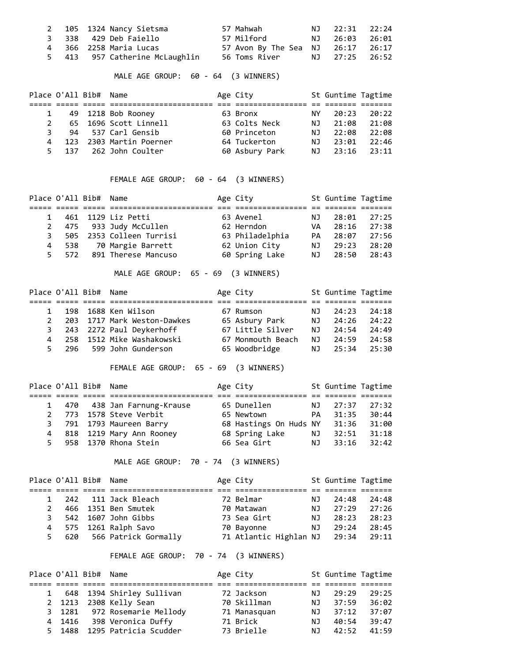|  | 2 105 1324 Nancy Sietsma       | 57 Mahwah                         | NJ 22:31 22:24 |  |
|--|--------------------------------|-----------------------------------|----------------|--|
|  | 3 338 429 Deb Faiello          | 57 Milford                        | NJ 26:03 26:01 |  |
|  | 4 366 2258 Maria Lucas         | 57 Avon By The Sea NJ 26:17 26:17 |                |  |
|  | 5 413 957 Catherine McLaughlin |                                   |                |  |

MALE AGE GROUP: 60 - 64 (3 WINNERS)

| Place O'All Bib# Name |                           | Age City       |      | St Guntime Tagtime |       |
|-----------------------|---------------------------|----------------|------|--------------------|-------|
|                       |                           |                |      |                    |       |
|                       | 1 49 1218 Bob Rooney      | 63 Bronx       | NY 1 | 20:23              | 20:22 |
|                       | 2 65 1696 Scott Linnell   | 63 Colts Neck  | NJ.  | 21:08              | 21:08 |
| 3.                    | 94 537 Carl Gensib        | 60 Princeton   | NJ.  | 22:08              | 22:08 |
|                       | 4 123 2303 Martin Poerner | 64 Tuckerton   | NJ.  | 23:01              | 22:46 |
|                       | 5 137 262 John Coulter    | 60 Asbury Park |      | NJ 23:16 23:11     |       |

FEMALE AGE GROUP: 60 - 64 (3 WINNERS)

| Place O'All Bib# Name |                            | Age City        |     | St Guntime Tagtime |       |
|-----------------------|----------------------------|-----------------|-----|--------------------|-------|
|                       |                            |                 |     |                    |       |
|                       | 1 461 1129 Liz Petti       | 63 Avenel       | NJ. | 28:01              | 27:25 |
|                       | 2 475 933 Judy McCullen    | 62 Herndon      | VA  | 28:16              | 27:38 |
|                       | 3 505 2353 Colleen Turrisi | 63 Philadelphia | PA. | 28:07              | 27:56 |
|                       | 4 538 70 Margie Barrett    | 62 Union City   | NJ. | 29:23              | 28:20 |
| 5 572                 | 891 Therese Mancuso        | 60 Spring Lake  | NJ. | 28:50              | 28:43 |

MALE AGE GROUP: 65 - 69 (3 WINNERS)

|               | Place O'All Bib# Name |                             | Age City          |     | St Guntime Tagtime |       |  |
|---------------|-----------------------|-----------------------------|-------------------|-----|--------------------|-------|--|
|               |                       |                             |                   |     |                    |       |  |
| $\mathbf{1}$  |                       | 198 1688 Ken Wilson         | 67 Rumson         | NJ. | 24:23              | 24:18 |  |
| $\mathcal{P}$ |                       | 203 1717 Mark Weston-Dawkes | 65 Asbury Park    | NJ. | 24:26              | 24:22 |  |
|               |                       | 3 243 2272 Paul Deykerhoff  | 67 Little Silver  | NJ  | 24:54              | 24:49 |  |
|               |                       | 4 258 1512 Mike Washakowski | 67 Monmouth Beach | NJ  | 24:59              | 24:58 |  |
| 5.            |                       | 296 599 John Gunderson      | 65 Woodbridge     | NJ. | 25:34              | 25:30 |  |

FEMALE AGE GROUP: 65 - 69 (3 WINNERS)

| Place O'All Bib# Name |                              | Age City               |     | St Guntime Tagtime |       |
|-----------------------|------------------------------|------------------------|-----|--------------------|-------|
|                       |                              |                        |     |                    |       |
|                       | 1 470 438 Jan Farnung-Krause | 65 Dunellen            | NJ. | 27:37              | 27:32 |
|                       | 2 773 1578 Steve Verbit      | 65 Newtown             | PA  | 31:35              | 30:44 |
|                       | 3 791 1793 Maureen Barry     | 68 Hastings On Huds NY |     | 31:36              | 31:00 |
|                       | 4 818 1219 Mary Ann Rooney   | 68 Spring Lake         | NJ  | 32:51              | 31:18 |
|                       | 5 958 1370 Rhona Stein       | 66 Sea Girt            | NJ  | 33:16              | 32:42 |

MALE AGE GROUP: 70 - 74 (3 WINNERS)

| Place O'All Bib# Name |                            | Age City                     |     | St Guntime Tagtime |       |
|-----------------------|----------------------------|------------------------------|-----|--------------------|-------|
|                       |                            |                              |     |                    |       |
|                       | 1 242 111 Jack Bleach      | 72 Belmar                    | NJ  | 24:48              | 24:48 |
|                       | 2 466 1351 Ben Smutek      | 70 Matawan                   | NJ. | 27:29              | 27:26 |
|                       | 3 542 1607 John Gibbs      | 73 Sea Girt                  | NJ. | 28:23              | 28:23 |
|                       | 4 575 1261 Ralph Savo      | 70 Bayonne                   | NJ. | 29:24              | 28:45 |
|                       | 5 620 566 Patrick Gormally | 71 Atlantic Highlan NJ 29:34 |     |                    | 29:11 |

FEMALE AGE GROUP: 70 - 74 (3 WINNERS)

| Place O'All Bib# Name |                              | Age City     |     | St Guntime Tagtime |       |
|-----------------------|------------------------------|--------------|-----|--------------------|-------|
|                       |                              |              |     |                    |       |
|                       | 1 648 1394 Shirley Sullivan  | 72 Jackson   | NJ. | 29:29              | 29:25 |
|                       | 2 1213 2308 Kelly Sean       | 70 Skillman  | NJ. | 37:59              | 36:02 |
|                       | 3 1281 972 Rosemarie Mellody | 71 Manasguan | NJ. | 37:12              | 37:07 |
| 4 1416                | 398 Veronica Duffy           | 71 Brick     | NJ. | 40:54              | 39:47 |
|                       | 5 1488 1295 Patricia Scudder | 73 Brielle   | NJ. | 42:52              | 41:59 |